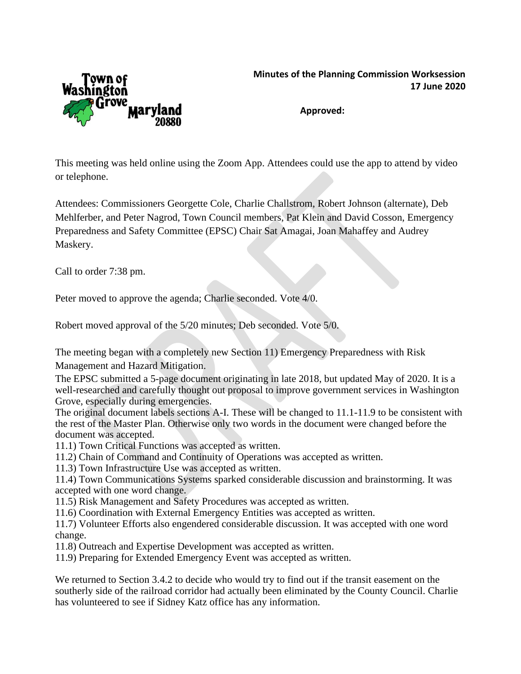

**Approved:**

This meeting was held online using the Zoom App. Attendees could use the app to attend by video or telephone.

Attendees: Commissioners Georgette Cole, Charlie Challstrom, Robert Johnson (alternate), Deb Mehlferber, and Peter Nagrod, Town Council members, Pat Klein and David Cosson, Emergency Preparedness and Safety Committee (EPSC) Chair Sat Amagai, Joan Mahaffey and Audrey Maskery.

Call to order 7:38 pm.

Peter moved to approve the agenda; Charlie seconded. Vote 4/0.

Robert moved approval of the 5/20 minutes; Deb seconded. Vote 5/0.

The meeting began with a completely new Section 11) Emergency Preparedness with Risk Management and Hazard Mitigation.

The EPSC submitted a 5-page document originating in late 2018, but updated May of 2020. It is a well-researched and carefully thought out proposal to improve government services in Washington Grove, especially during emergencies.

The original document labels sections A-I. These will be changed to 11.1-11.9 to be consistent with the rest of the Master Plan. Otherwise only two words in the document were changed before the document was accepted.

11.1) Town Critical Functions was accepted as written.

11.2) Chain of Command and Continuity of Operations was accepted as written.

11.3) Town Infrastructure Use was accepted as written.

11.4) Town Communications Systems sparked considerable discussion and brainstorming. It was accepted with one word change.

11.5) Risk Management and Safety Procedures was accepted as written.

11.6) Coordination with External Emergency Entities was accepted as written.

11.7) Volunteer Efforts also engendered considerable discussion. It was accepted with one word change.

11.8) Outreach and Expertise Development was accepted as written.

11.9) Preparing for Extended Emergency Event was accepted as written.

We returned to Section 3.4.2 to decide who would try to find out if the transit easement on the southerly side of the railroad corridor had actually been eliminated by the County Council. Charlie has volunteered to see if Sidney Katz office has any information.